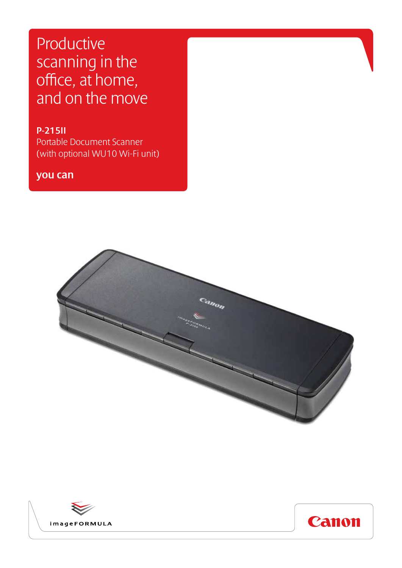# Productive scanning in the office, at home, and on the move

P-215II Portable Document Scanner (with optional WU10 Wi-Fi unit)

you can





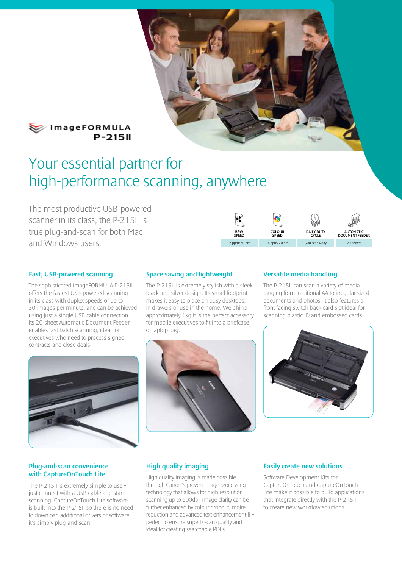

#### *Methormula*  $P-215II$

# Your essential partner for high-performance scanning, anywhere

The most productive USB-powered scanner in its class, the P-215II is true plug-and-scan for both Mac and Windows users.



#### Fast, USB-powered scanning

The sophisticated imageFORMULA P-215II offers the fastest USB-powered scanning in its class with duplex speeds of up to 30 images per minute, and can be achieved using just a single USB cable connection. Its 20-sheet Automatic Document Feeder enables fast batch scanning, ideal for executives who need to process signed contracts and close deals.



#### Plug-and-scan convenience with CaptureOnTouch Lite

The P-215II is extremely simple to use – just connect with a USB cable and start scanning! CaptureOnTouch Lite software is built into the P-215II so there is no need to download additional drivers or software, it's simply plug-and-scan.

#### Space saving and lightweight

The P-215II is extremely stylish with a sleek black and silver design. Its small footprint makes it easy to place on busy desktops, in drawers or use in the home. Weighing approximately 1kg it is the perfect accessory for mobile executives to fit into a briefcase or laptop bag.



#### Versatile media handling

The P-215II can scan a variety of media ranging from traditional A4 to irregular sized documents and photos. It also features a front facing switch back card slot ideal for scanning plastic ID and embossed cards.



#### High quality imaging

High quality imaging is made possible through Canon's proven image processing technology that allows for high resolution scanning up to 600dpi. Image clarity can be further enhanced by colour dropout, moire reduction and advanced text enhancement II – perfect to ensure superb scan quality and ideal for creating searchable PDFs.

#### Easily create new solutions

Software Development Kits for CaptureOnTouch and CaptureOnTouch Lite make it possible to build applications that integrate directly with the P-215II to create new workflow solutions.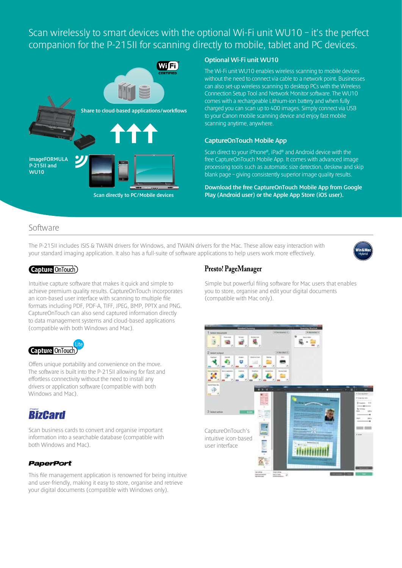### Scan wirelessly to smart devices with the optional Wi-Fi unit WU10 – it's the perfect companion for the P-215II for scanning directly to mobile, tablet and PC devices.



#### Optional Wi-Fi unit WU10

The Wi-Fi unit WU10 enables wireless scanning to mobile devices without the need to connect via cable to a network point. Businesses can also set-up wireless scanning to desktop PCs with the Wireless Connection Setup Tool and Network Monitor software. The WU10 comes with a rechargeable Lithium-ion battery and when fully charged you can scan up to 400 images. Simply connect via USB to your Canon mobile scanning device and enjoy fast mobile scanning anytime, anywhere.

#### CaptureOnTouch Mobile App

Scan direct to your iPhone®, iPad® and Android device with the free CaptureOnTouch Mobile App. It comes with advanced image processing tools such as automatic size detection, deskew and skip blank page – giving consistently superior image quality results.

Download the free CaptureOnTouch Mobile App from Google Play (Android user) or the Apple App Store (iOS user).

#### Software

The P-215II includes ISIS & TWAIN drivers for Windows, and TWAIN drivers for the Mac. These allow easy interaction with your standard imaging application. It also has a full-suite of software applications to help users work more effectively.



#### Capture OnTouch)

Intuitive capture software that makes it quick and simple to achieve premium quality results. CaptureOnTouch incorporates an icon-based user interface with scanning to multiple file formats including PDF, PDF-A, TIFF, JPEG, BMP, PPTX and PNG. CaptureOnTouch can also send captured information directly to data management systems and cloud-based applications (compatible with both Windows and Mac).



Offers unique portability and convenience on the move. The software is built into the P-215II allowing for fast and effortless connectivity without the need to install any drivers or application software (compatible with both Windows and Mac).

### **BizCard**

Scan business cards to convert and organise important information into a searchable database (compatible with both Windows and Mac).

#### **PaperPort**

This file management application is renowned for being intuitive and user-friendly, making it easy to store, organise and retrieve your digital documents (compatible with Windows only).

#### Presto! PageManager

Simple but powerful filing software for Mac users that enables you to store, organise and edit your digital documents (compatible with Mac only).